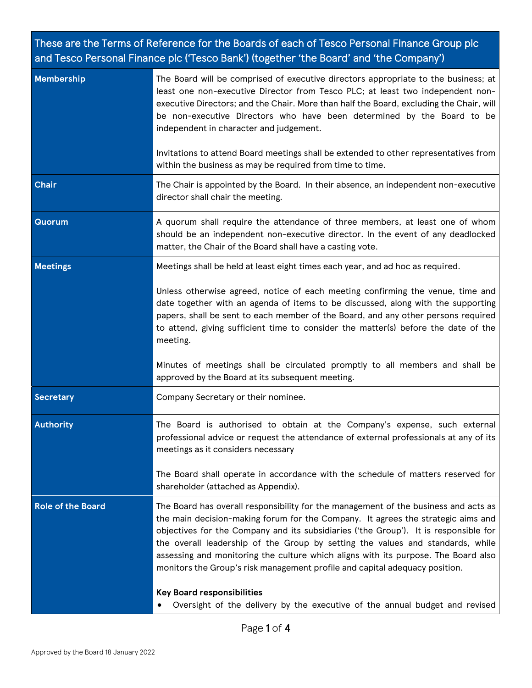# These are the Terms of Reference for the Boards of each of Tesco Personal Finance Group plc and Tesco Personal Finance plc ('Tesco Bank') (together 'the Board' and 'the Company')

| Membership               | The Board will be comprised of executive directors appropriate to the business; at<br>least one non-executive Director from Tesco PLC; at least two independent non-<br>executive Directors; and the Chair. More than half the Board, excluding the Chair, will<br>be non-executive Directors who have been determined by the Board to be<br>independent in character and judgement.                                                                                                                                                                        |
|--------------------------|-------------------------------------------------------------------------------------------------------------------------------------------------------------------------------------------------------------------------------------------------------------------------------------------------------------------------------------------------------------------------------------------------------------------------------------------------------------------------------------------------------------------------------------------------------------|
|                          | Invitations to attend Board meetings shall be extended to other representatives from<br>within the business as may be required from time to time.                                                                                                                                                                                                                                                                                                                                                                                                           |
| <b>Chair</b>             | The Chair is appointed by the Board. In their absence, an independent non-executive<br>director shall chair the meeting.                                                                                                                                                                                                                                                                                                                                                                                                                                    |
| <b>Quorum</b>            | A quorum shall require the attendance of three members, at least one of whom<br>should be an independent non-executive director. In the event of any deadlocked<br>matter, the Chair of the Board shall have a casting vote.                                                                                                                                                                                                                                                                                                                                |
| <b>Meetings</b>          | Meetings shall be held at least eight times each year, and ad hoc as required.                                                                                                                                                                                                                                                                                                                                                                                                                                                                              |
|                          | Unless otherwise agreed, notice of each meeting confirming the venue, time and<br>date together with an agenda of items to be discussed, along with the supporting<br>papers, shall be sent to each member of the Board, and any other persons required<br>to attend, giving sufficient time to consider the matter(s) before the date of the<br>meeting.                                                                                                                                                                                                   |
|                          | Minutes of meetings shall be circulated promptly to all members and shall be<br>approved by the Board at its subsequent meeting.                                                                                                                                                                                                                                                                                                                                                                                                                            |
| <b>Secretary</b>         | Company Secretary or their nominee.                                                                                                                                                                                                                                                                                                                                                                                                                                                                                                                         |
| <b>Authority</b>         | The Board is authorised to obtain at the Company's expense, such external<br>professional advice or request the attendance of external professionals at any of its<br>meetings as it considers necessary                                                                                                                                                                                                                                                                                                                                                    |
|                          | The Board shall operate in accordance with the schedule of matters reserved for<br>shareholder (attached as Appendix).                                                                                                                                                                                                                                                                                                                                                                                                                                      |
| <b>Role of the Board</b> | The Board has overall responsibility for the management of the business and acts as<br>the main decision-making forum for the Company. It agrees the strategic aims and<br>objectives for the Company and its subsidiaries ('the Group'). It is responsible for<br>the overall leadership of the Group by setting the values and standards, while<br>assessing and monitoring the culture which aligns with its purpose. The Board also<br>monitors the Group's risk management profile and capital adequacy position.<br><b>Key Board responsibilities</b> |
|                          | Oversight of the delivery by the executive of the annual budget and revised                                                                                                                                                                                                                                                                                                                                                                                                                                                                                 |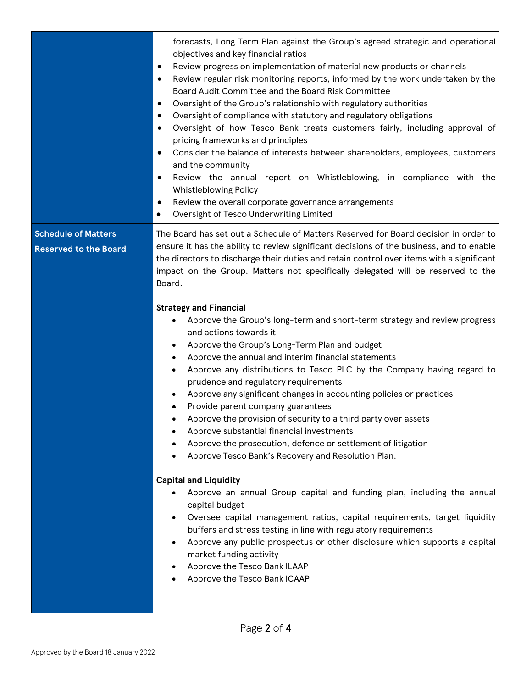forecasts, Long Term Plan against the Group's agreed strategic and operational objectives and key financial ratios

- Review progress on implementation of material new products or channels
- Review regular risk monitoring reports, informed by the work undertaken by the Board Audit Committee and the Board Risk Committee
- Oversight of the Group's relationship with regulatory authorities
- Oversight of compliance with statutory and regulatory obligations
- Oversight of how Tesco Bank treats customers fairly, including approval of pricing frameworks and principles
- Consider the balance of interests between shareholders, employees, customers and the community
- Review the annual report on Whistleblowing, in compliance with the Whistleblowing Policy
- Review the overall corporate governance arrangements
- Oversight of Tesco Underwriting Limited

**Schedule of Matters Reserved to the Board** The Board has set out a Schedule of Matters Reserved for Board decision in order to ensure it has the ability to review significant decisions of the business, and to enable the directors to discharge their duties and retain control over items with a significant impact on the Group. Matters not specifically delegated will be reserved to the Board.

# **Strategy and Financial**

- Approve the Group's long-term and short-term strategy and review progress and actions towards it
- Approve the Group's Long-Term Plan and budget
- Approve the annual and interim financial statements
- Approve any distributions to Tesco PLC by the Company having regard to prudence and regulatory requirements
- Approve any significant changes in accounting policies or practices
- Provide parent company guarantees
- Approve the provision of security to a third party over assets
- Approve substantial financial investments
- Approve the prosecution, defence or settlement of litigation
- Approve Tesco Bank's Recovery and Resolution Plan.

#### **Capital and Liquidity**

- Approve an annual Group capital and funding plan, including the annual capital budget
- Oversee capital management ratios, capital requirements, target liquidity buffers and stress testing in line with regulatory requirements
- Approve any public prospectus or other disclosure which supports a capital market funding activity
- Approve the Tesco Bank ILAAP
- Approve the Tesco Bank ICAAP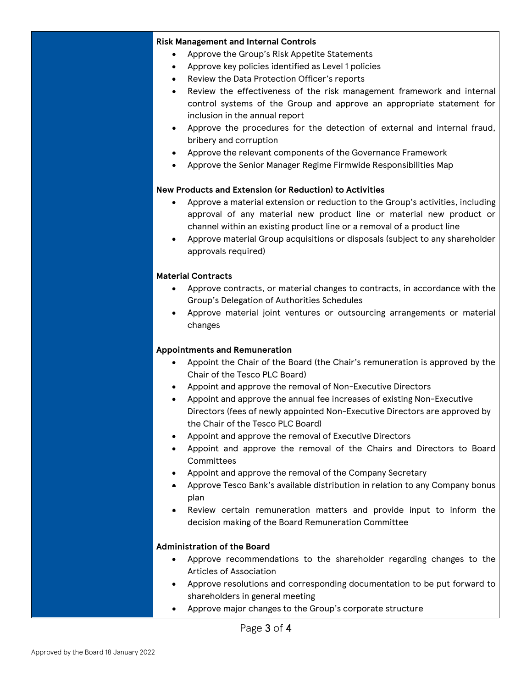#### **Risk Management and Internal Controls**

- Approve the Group's Risk Appetite Statements
- Approve key policies identified as Level 1 policies
- Review the Data Protection Officer's reports
- Review the effectiveness of the risk management framework and internal control systems of the Group and approve an appropriate statement for inclusion in the annual report
- Approve the procedures for the detection of external and internal fraud, bribery and corruption
- Approve the relevant components of the Governance Framework
- Approve the Senior Manager Regime Firmwide Responsibilities Map

## **New Products and Extension (or Reduction) to Activities**

- Approve a material extension or reduction to the Group's activities, including approval of any material new product line or material new product or channel within an existing product line or a removal of a product line
- Approve material Group acquisitions or disposals (subject to any shareholder approvals required)

## **Material Contracts**

- Approve contracts, or material changes to contracts, in accordance with the Group's Delegation of Authorities Schedules
- Approve material joint ventures or outsourcing arrangements or material changes

# **Appointments and Remuneration**

- Appoint the Chair of the Board (the Chair's remuneration is approved by the Chair of the Tesco PLC Board)
- Appoint and approve the removal of Non-Executive Directors
- Appoint and approve the annual fee increases of existing Non-Executive Directors (fees of newly appointed Non-Executive Directors are approved by the Chair of the Tesco PLC Board)
- Appoint and approve the removal of Executive Directors
- Appoint and approve the removal of the Chairs and Directors to Board **Committees**
- Appoint and approve the removal of the Company Secretary
- Approve Tesco Bank's available distribution in relation to any Company bonus plan
- Review certain remuneration matters and provide input to inform the decision making of the Board Remuneration Committee

# **Administration of the Board**

- Approve recommendations to the shareholder regarding changes to the Articles of Association
- Approve resolutions and corresponding documentation to be put forward to shareholders in general meeting
- Approve major changes to the Group's corporate structure